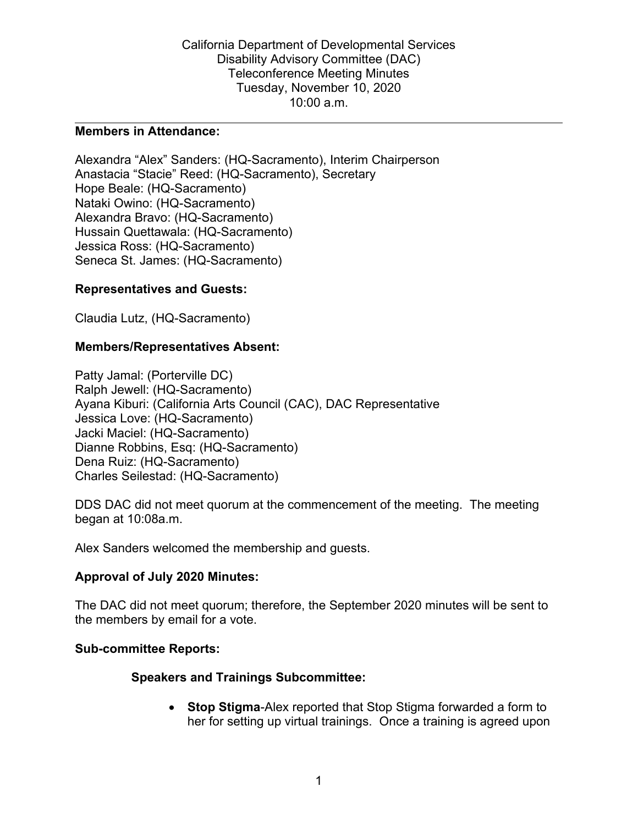California Department of Developmental Services Disability Advisory Committee (DAC) Teleconference Meeting Minutes Tuesday, November 10, 2020 10:00 a.m.

### **Members in Attendance:**

Alexandra "Alex" Sanders: (HQ-Sacramento), Interim Chairperson Anastacia "Stacie" Reed: (HQ-Sacramento), Secretary Hope Beale: (HQ-Sacramento) Nataki Owino: (HQ-Sacramento) Alexandra Bravo: (HQ-Sacramento) Hussain Quettawala: (HQ-Sacramento) Jessica Ross: (HQ-Sacramento) Seneca St. James: (HQ-Sacramento)

### **Representatives and Guests:**

Claudia Lutz, (HQ-Sacramento)

### **Members/Representatives Absent:**

Patty Jamal: (Porterville DC) Ralph Jewell: (HQ-Sacramento) Ayana Kiburi: (California Arts Council (CAC), DAC Representative Jessica Love: (HQ-Sacramento) Jacki Maciel: (HQ-Sacramento) Dianne Robbins, Esq: (HQ-Sacramento) Dena Ruiz: (HQ-Sacramento) Charles Seilestad: (HQ-Sacramento)

DDS DAC did not meet quorum at the commencement of the meeting. The meeting began at 10:08a.m.

Alex Sanders welcomed the membership and guests.

### **Approval of July 2020 Minutes:**

The DAC did not meet quorum; therefore, the September 2020 minutes will be sent to the members by email for a vote.

### **Sub-committee Reports:**

## **Speakers and Trainings Subcommittee:**

• **Stop Stigma**-Alex reported that Stop Stigma forwarded a form to her for setting up virtual trainings. Once a training is agreed upon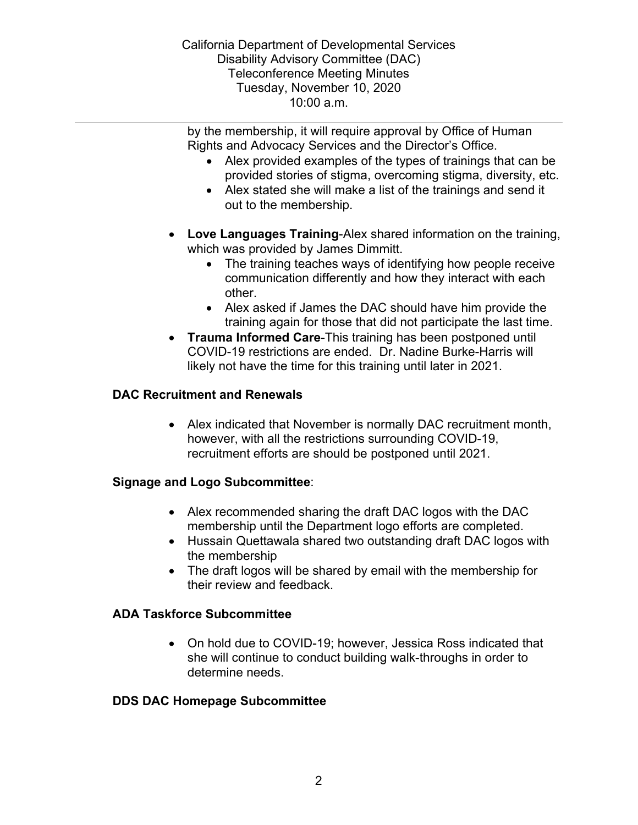California Department of Developmental Services Disability Advisory Committee (DAC) Teleconference Meeting Minutes Tuesday, November 10, 2020 10:00 a.m.

by the membership, it will require approval by Office of Human Rights and Advocacy Services and the Director's Office.

- Alex provided examples of the types of trainings that can be provided stories of stigma, overcoming stigma, diversity, etc.
- Alex stated she will make a list of the trainings and send it out to the membership.
- **Love Languages Training**-Alex shared information on the training, which was provided by James Dimmitt.
	- The training teaches ways of identifying how people receive communication differently and how they interact with each other.
	- Alex asked if James the DAC should have him provide the training again for those that did not participate the last time.
- **Trauma Informed Care**-This training has been postponed until COVID-19 restrictions are ended. Dr. Nadine Burke-Harris will likely not have the time for this training until later in 2021.

# **DAC Recruitment and Renewals**

• Alex indicated that November is normally DAC recruitment month, however, with all the restrictions surrounding COVID-19, recruitment efforts are should be postponed until 2021.

## **Signage and Logo Subcommittee**:

- Alex recommended sharing the draft DAC logos with the DAC membership until the Department logo efforts are completed.
- Hussain Quettawala shared two outstanding draft DAC logos with the membership
- The draft logos will be shared by email with the membership for their review and feedback.

## **ADA Taskforce Subcommittee**

• On hold due to COVID-19; however, Jessica Ross indicated that she will continue to conduct building walk-throughs in order to determine needs.

## **DDS DAC Homepage Subcommittee**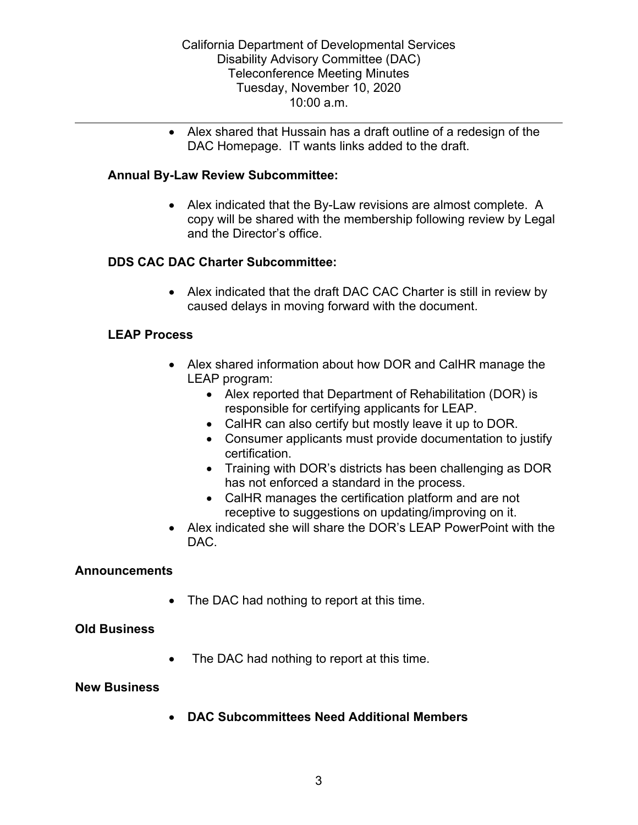• Alex shared that Hussain has a draft outline of a redesign of the DAC Homepage. IT wants links added to the draft.

## **Annual By-Law Review Subcommittee:**

• Alex indicated that the By-Law revisions are almost complete. A copy will be shared with the membership following review by Legal and the Director's office.

### **DDS CAC DAC Charter Subcommittee:**

• Alex indicated that the draft DAC CAC Charter is still in review by caused delays in moving forward with the document.

### **LEAP Process**

- Alex shared information about how DOR and CalHR manage the LEAP program:
	- Alex reported that Department of Rehabilitation (DOR) is responsible for certifying applicants for LEAP.
	- CalHR can also certify but mostly leave it up to DOR.
	- Consumer applicants must provide documentation to justify certification.
	- Training with DOR's districts has been challenging as DOR has not enforced a standard in the process.
	- CalHR manages the certification platform and are not receptive to suggestions on updating/improving on it.
- Alex indicated she will share the DOR's LEAP PowerPoint with the DAC.

### **Announcements**

• The DAC had nothing to report at this time.

### **Old Business**

• The DAC had nothing to report at this time.

### **New Business**

• **DAC Subcommittees Need Additional Members**